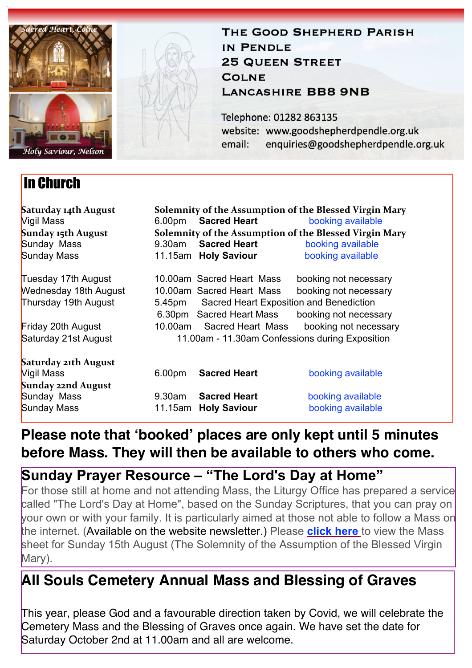

# In Church



### THE GOOD SHEPHERD PARISH IN PENDLE **25 QUEEN STREET COLNE LANCASHIRE BB8 9NB**

Telephone: 01282 863135 website: www.goodshepherdpendle.org.uk email: enquiries@goodshepherdpendle.org.uk

| Saturday 14th August<br><b>Vigil Mass</b> |                                                 | 6.00pm Sacred Heart       | Solemnity of the Assumption of the Blessed Virgin Mary<br>booking available |
|-------------------------------------------|-------------------------------------------------|---------------------------|-----------------------------------------------------------------------------|
| Sunday 15th August                        |                                                 |                           | Solemnity of the Assumption of the Blessed Virgin Mary                      |
| Sunday Mass                               | 9.30am                                          | <b>Sacred Heart</b>       | booking available                                                           |
| Sunday Mass                               |                                                 | 11.15am Holy Saviour      | booking available                                                           |
| Tuesday 17th August                       |                                                 | 10.00am Sacred Heart Mass | booking not necessary                                                       |
| <b>Wednesday 18th August</b>              |                                                 | 10.00am Sacred Heart Mass | booking not necessary                                                       |
| Thursday 19th August                      | 5.45pm Sacred Heart Exposition and Benediction  |                           |                                                                             |
|                                           |                                                 | 6.30pm Sacred Heart Mass  | booking not necessary                                                       |
| Friday 20th August                        | 10.00am                                         | Sacred Heart Mass         | booking not necessary                                                       |
| Saturday 21st August                      | 11.00am - 11.30am Confessions during Exposition |                           |                                                                             |
| <b>Saturday 21th August</b>               |                                                 |                           |                                                                             |
| <b>Vigil Mass</b>                         | 6.00 <sub>pm</sub>                              | <b>Sacred Heart</b>       | booking available                                                           |
| <b>Sunday 22nd August</b>                 |                                                 |                           |                                                                             |
| Sunday Mass                               | 9.30am                                          | <b>Sacred Heart</b>       | booking available                                                           |

## **Please note that 'booked' places are only kept until 5 minutes before Mass. They will then be available to others who come.**

## **Sunday Prayer Resource – "The Lord's Day at Home"**

Sunday Mass 11.15am **Holy Saviour** [booking available](https://www.eventbrite.co.uk/e/166908765611)

For those still at home and not attending Mass, the Liturgy Office has prepared a service called "The Lord's Day at Home", based on the Sunday Scriptures, that you can pray on your own or with your family. It is particularly aimed at those not able to follow a Mass on the internet. (Available on the website newsletter.) Please **[click here](https://gbr01.safelinks.protection.outlook.com/?url=https%3A%2F%2Fdioceseofsalford.us6.list-manage.com%2Ftrack%2Fclick%3Fu%3D76e219dab8653b775ba8aac4c%26id%3D23a168fe36%26e%3D5ce69633f0&data=04%7C01%7Cpeter.wilkinson%40dioceseofsalford.org.uk%7C4f05356e78f6424fb50f08d95ca22aaf%7C699a61ae142a45a090c604b2f08de19b%7C0%7C0%7C637642673832457634%7CUnknown%7CTWFpbGZsb3d8eyJWIjoiMC4wLjAwMDAiLCJQIjoiV2luMzIiLCJBTiI6Ik1haWwiLCJXVCI6Mn0%3D%7C1000&sdata=KMCDPSC3YHm0hkwkGyppd00NNNn1%2FlwlFaYfi9tXIFQ%3D&reserved=0)** to view the Mass sheet for Sunday 15th August (The Solemnity of the Assumption of the Blessed Virgin Mary).

## **All Souls Cemetery Annual Mass and Blessing of Graves**

This year, please God and a favourable direction taken by Covid, we will celebrate the Cemetery Mass and the Blessing of Graves once again. We have set the date for Saturday October 2nd at 11.00am and all are welcome.